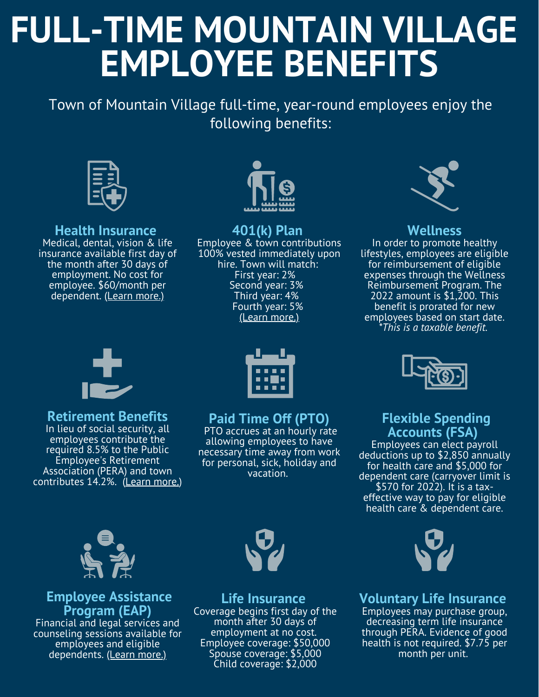# **FULL-TIME MOUNTAIN VILLAGE EMPLOYEE BENEFITS**

Town of Mountain Village full-time, year-round employees enjoy the following benefits:



#### **Health Insurance**

Medical, dental, vision & life insurance available first day of the month after 30 days of employment. No cost for employee. \$60/month per dependent. (Learn [more.\)](https://www.cebt.org/)



#### **401(k) Plan**

Employee & town contributions 100% vested immediately upon hire. Town will match: First year: 2% Second year: 3% Third year: 4% Fourth year: 5% (Learn [more.\)](https://copera401k.voya.com/einfo/planinfo.aspx?cl=CORADO&pl=650301PU&page=plan_informationintroduction)



### **Wellness**

In order to promote healthy lifestyles, employees are eligible for reimbursement of eligible expenses through the Wellness Reimbursement Program. The 2022 amount is \$1,200. This benefit is prorated for new employees based on start date. *\*This is a taxable benefit.*



# **Retirement Benefits**

In lieu of social security, all employees contribute the required 8.5% to the Public Employee's Retirement Association (PERA) and town contributes 14.2%. (Learn [more.\)](https://www.copera.org/)



## **Paid Time Off (PTO)**

PTO accrues at an hourly rate allowing employees to have necessary time away from work for personal, sick, holiday and vacation.



# **Flexible Spending Accounts (FSA)**

Employees can elect payroll deductions up to \$2,850 annually for health care and \$5,000 for dependent care (carryover limit is \$570 for 2022). It is a taxeffective way to pay for eligible health care & dependent care.



## **Employee Assistance Program (EAP)**

Financial and legal services and counseling sessions available for employees and eligible dependents. (Learn [more.\)](https://www.triadeap.com/)



**Life Insurance** Coverage begins first day of the month after 30 days of employment at no cost. Employee coverage: \$50,000 Spouse coverage: \$5,000 Child coverage: \$2,000



**Voluntary Life Insurance** Employees may purchase group, decreasing term life insurance through PERA. Evidence of good health is not required. \$7.75 per month per unit.